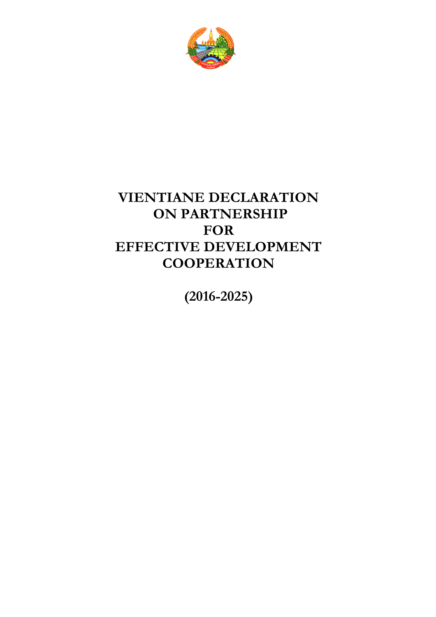

# **VIENTIANE DECLARATION ON PARTNERSHIP FOR EFFECTIVE DEVELOPMENT COOPERATION**

**(2016-2025)**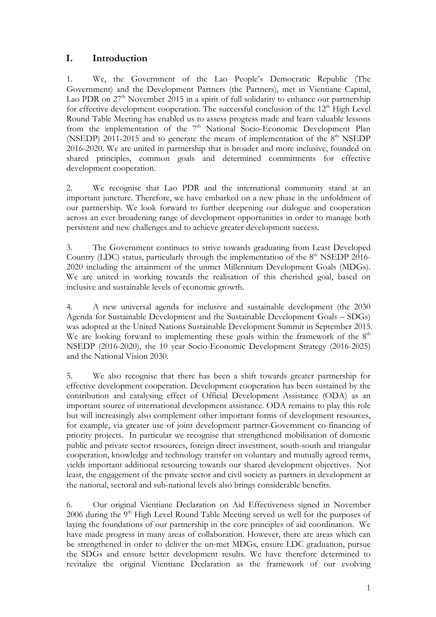## **I. Introduction**

1. We, the Government of the Lao People's Democratic Republic (The Government) and the Development Partners (the Partners), met in Vientiane Capital, Lao PDR on  $27<sup>th</sup>$  November 2015 in a spirit of full solidarity to enhance our partnership for effective development cooperation. The successful conclusion of the 12<sup>th</sup> High Level Round Table Meeting has enabled us to assess progress made and learn valuable lessons from the implementation of the 7<sup>th</sup> National Socio-Economic Development Plan (NSEDP) 2011-2015 and to generate the means of implementation of the  $8<sup>th</sup>$  NSEDP 2016-2020. We are united in partnership that is broader and more inclusive, founded on shared principles, common goals and determined commitments for effective development cooperation.

2. We recognise that Lao PDR and the international community stand at an important juncture. Therefore, we have embarked on a new phase in the unfoldment of our partnership. We look forward to further deepening our dialogue and cooperation across an ever broadening range of development opportunities in order to manage both persistent and new challenges and to achieve greater development success.

3. The Government continues to strive towards graduating from Least Developed Country (LDC) status, particularly through the implementation of the  $8<sup>th</sup>$  NSEDP 2016-2020 including the attainment of the unmet Millennium Development Goals (MDGs). We are united in working towards the realisation of this cherished goal, based on inclusive and sustainable levels of economic growth.

4. A new universal agenda for inclusive and sustainable development (the 2030 Agenda for Sustainable Development and the Sustainable Development Goals – SDGs) was adopted at the United Nations Sustainable Development Summit in September 2015. We are looking forward to implementing these goals within the framework of the  $8<sup>th</sup>$ NSEDP (2016-2020), the 10 year Socio-Economic Development Strategy (2016-2025) and the National Vision 2030.

5. We also recognise that there has been a shift towards greater partnership for effective development cooperation. Development cooperation has been sustained by the contribution and catalysing effect of Official Development Assistance (ODA) as an important source of international development assistance. ODA remains to play this role but will increasingly also complement other important forms of development resources, for example, via greater use of joint development partner-Government co-financing of priority projects. In particular we recognise that strengthened mobilisation of domestic public and private sector resources, foreign direct investment, south-south and triangular cooperation, knowledge and technology transfer on voluntary and mutually agreed terms, yields important additional resourcing towards our shared development objectives. Not least, the engagement of the private sector and civil society as partners in development at the national, sectoral and sub-national levels also brings considerable benefits.

6. Our original Vientiane Declaration on Aid Effectiveness signed in November  $2006$  during the  $9<sup>th</sup>$  High Level Round Table Meeting served us well for the purposes of laying the foundations of our partnership in the core principles of aid coordination. We have made progress in many areas of collaboration. However, there are areas which can be strengthened in order to deliver the un-met MDGs, ensure LDC graduation, pursue the SDGs and ensure better development results. We have therefore determined to revitalize the original Vientiane Declaration as the framework of our evolving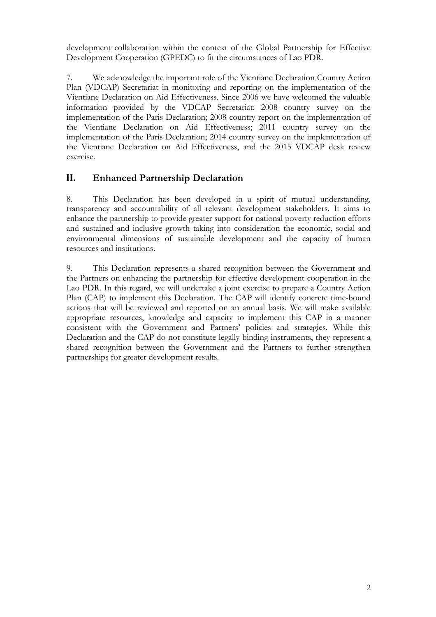development collaboration within the context of the Global Partnership for Effective Development Cooperation (GPEDC) to fit the circumstances of Lao PDR.

7. We acknowledge the important role of the Vientiane Declaration Country Action Plan (VDCAP) Secretariat in monitoring and reporting on the implementation of the Vientiane Declaration on Aid Effectiveness. Since 2006 we have welcomed the valuable information provided by the VDCAP Secretariat: 2008 country survey on the implementation of the Paris Declaration; 2008 country report on the implementation of the Vientiane Declaration on Aid Effectiveness; 2011 country survey on the implementation of the Paris Declaration; 2014 country survey on the implementation of the Vientiane Declaration on Aid Effectiveness, and the 2015 VDCAP desk review exercise.

# **II. Enhanced Partnership Declaration**

8. This Declaration has been developed in a spirit of mutual understanding, transparency and accountability of all relevant development stakeholders. It aims to enhance the partnership to provide greater support for national poverty reduction efforts and sustained and inclusive growth taking into consideration the economic, social and environmental dimensions of sustainable development and the capacity of human resources and institutions.

9. This Declaration represents a shared recognition between the Government and the Partners on enhancing the partnership for effective development cooperation in the Lao PDR. In this regard, we will undertake a joint exercise to prepare a Country Action Plan (CAP) to implement this Declaration. The CAP will identify concrete time-bound actions that will be reviewed and reported on an annual basis. We will make available appropriate resources, knowledge and capacity to implement this CAP in a manner consistent with the Government and Partners' policies and strategies. While this Declaration and the CAP do not constitute legally binding instruments, they represent a shared recognition between the Government and the Partners to further strengthen partnerships for greater development results.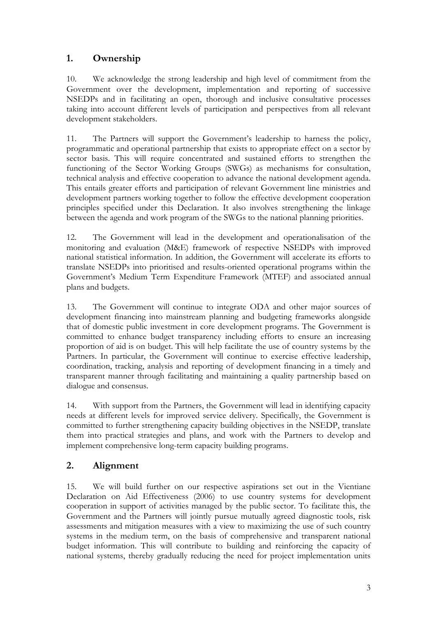# **1. Ownership**

10. We acknowledge the strong leadership and high level of commitment from the Government over the development, implementation and reporting of successive NSEDPs and in facilitating an open, thorough and inclusive consultative processes taking into account different levels of participation and perspectives from all relevant development stakeholders.

11. The Partners will support the Government's leadership to harness the policy, programmatic and operational partnership that exists to appropriate effect on a sector by sector basis. This will require concentrated and sustained efforts to strengthen the functioning of the Sector Working Groups (SWGs) as mechanisms for consultation, technical analysis and effective cooperation to advance the national development agenda. This entails greater efforts and participation of relevant Government line ministries and development partners working together to follow the effective development cooperation principles specified under this Declaration. It also involves strengthening the linkage between the agenda and work program of the SWGs to the national planning priorities.

12. The Government will lead in the development and operationalisation of the monitoring and evaluation (M&E) framework of respective NSEDPs with improved national statistical information. In addition, the Government will accelerate its efforts to translate NSEDPs into prioritised and results-oriented operational programs within the Government's Medium Term Expenditure Framework (MTEF) and associated annual plans and budgets.

13. The Government will continue to integrate ODA and other major sources of development financing into mainstream planning and budgeting frameworks alongside that of domestic public investment in core development programs. The Government is committed to enhance budget transparency including efforts to ensure an increasing proportion of aid is on budget. This will help facilitate the use of country systems by the Partners. In particular, the Government will continue to exercise effective leadership, coordination, tracking, analysis and reporting of development financing in a timely and transparent manner through facilitating and maintaining a quality partnership based on dialogue and consensus.

14. With support from the Partners, the Government will lead in identifying capacity needs at different levels for improved service delivery. Specifically, the Government is committed to further strengthening capacity building objectives in the NSEDP, translate them into practical strategies and plans, and work with the Partners to develop and implement comprehensive long-term capacity building programs.

# **2. Alignment**

15. We will build further on our respective aspirations set out in the Vientiane Declaration on Aid Effectiveness (2006) to use country systems for development cooperation in support of activities managed by the public sector. To facilitate this, the Government and the Partners will jointly pursue mutually agreed diagnostic tools, risk assessments and mitigation measures with a view to maximizing the use of such country systems in the medium term, on the basis of comprehensive and transparent national budget information. This will contribute to building and reinforcing the capacity of national systems, thereby gradually reducing the need for project implementation units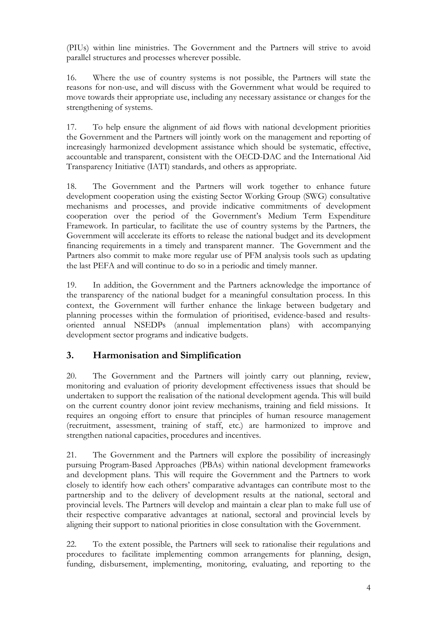(PIUs) within line ministries. The Government and the Partners will strive to avoid parallel structures and processes wherever possible.

16. Where the use of country systems is not possible, the Partners will state the reasons for non-use, and will discuss with the Government what would be required to move towards their appropriate use, including any necessary assistance or changes for the strengthening of systems.

17. To help ensure the alignment of aid flows with national development priorities the Government and the Partners will jointly work on the management and reporting of increasingly harmonized development assistance which should be systematic, effective, accountable and transparent, consistent with the OECD-DAC and the International Aid Transparency Initiative (IATI) standards, and others as appropriate.

18. The Government and the Partners will work together to enhance future development cooperation using the existing Sector Working Group (SWG) consultative mechanisms and processes, and provide indicative commitments of development cooperation over the period of the Government's Medium Term Expenditure Framework. In particular, to facilitate the use of country systems by the Partners, the Government will accelerate its efforts to release the national budget and its development financing requirements in a timely and transparent manner. The Government and the Partners also commit to make more regular use of PFM analysis tools such as updating the last PEFA and will continue to do so in a periodic and timely manner.

19. In addition, the Government and the Partners acknowledge the importance of the transparency of the national budget for a meaningful consultation process. In this context, the Government will further enhance the linkage between budgetary and planning processes within the formulation of prioritised, evidence-based and resultsoriented annual NSEDPs (annual implementation plans) with accompanying development sector programs and indicative budgets.

# **3. Harmonisation and Simplification**

20. The Government and the Partners will jointly carry out planning, review, monitoring and evaluation of priority development effectiveness issues that should be undertaken to support the realisation of the national development agenda. This will build on the current country donor joint review mechanisms, training and field missions. It requires an ongoing effort to ensure that principles of human resource management (recruitment, assessment, training of staff, etc.) are harmonized to improve and strengthen national capacities, procedures and incentives.

21. The Government and the Partners will explore the possibility of increasingly pursuing Program-Based Approaches (PBAs) within national development frameworks and development plans. This will require the Government and the Partners to work closely to identify how each others' comparative advantages can contribute most to the partnership and to the delivery of development results at the national, sectoral and provincial levels. The Partners will develop and maintain a clear plan to make full use of their respective comparative advantages at national, sectoral and provincial levels by aligning their support to national priorities in close consultation with the Government.

22. To the extent possible, the Partners will seek to rationalise their regulations and procedures to facilitate implementing common arrangements for planning, design, funding, disbursement, implementing, monitoring, evaluating, and reporting to the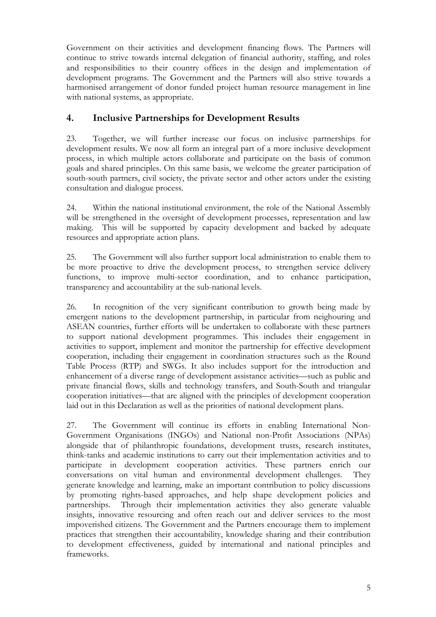Government on their activities and development financing flows. The Partners will continue to strive towards internal delegation of financial authority, staffing, and roles and responsibilities to their country offices in the design and implementation of development programs. The Government and the Partners will also strive towards a harmonised arrangement of donor funded project human resource management in line with national systems, as appropriate.

# **4. Inclusive Partnerships for Development Results**

23. Together, we will further increase our focus on inclusive partnerships for development results. We now all form an integral part of a more inclusive development process, in which multiple actors collaborate and participate on the basis of common goals and shared principles. On this same basis, we welcome the greater participation of south-south partners, civil society, the private sector and other actors under the existing consultation and dialogue process.

24. Within the national institutional environment, the role of the National Assembly will be strengthened in the oversight of development processes, representation and law making. This will be supported by capacity development and backed by adequate resources and appropriate action plans.

25. The Government will also further support local administration to enable them to be more proactive to drive the development process, to strengthen service delivery functions, to improve multi-sector coordination, and to enhance participation, transparency and accountability at the sub-national levels.

26. In recognition of the very significant contribution to growth being made by emergent nations to the development partnership, in particular from neighouring and ASEAN countries, further efforts will be undertaken to collaborate with these partners to support national development programmes. This includes their engagement in activities to support, implement and monitor the partnership for effective development cooperation, including their engagement in coordination structures such as the Round Table Process (RTP) and SWGs. It also includes support for the introduction and enhancement of a diverse range of development assistance activities—such as public and private financial flows, skills and technology transfers, and South-South and triangular cooperation initiatives—that are aligned with the principles of development cooperation laid out in this Declaration as well as the priorities of national development plans.

27. The Government will continue its efforts in enabling International Non-Government Organisations (INGOs) and National non-Profit Associations (NPAs) alongside that of philanthropic foundations, development trusts, research institutes, think-tanks and academic institutions to carry out their implementation activities and to participate in development cooperation activities. These partners enrich our conversations on vital human and environmental development challenges. They generate knowledge and learning, make an important contribution to policy discussions by promoting rights-based approaches, and help shape development policies and partnerships. Through their implementation activities they also generate valuable insights, innovative resourcing and often reach out and deliver services to the most impoverished citizens. The Government and the Partners encourage them to implement practices that strengthen their accountability, knowledge sharing and their contribution to development effectiveness, guided by international and national principles and frameworks.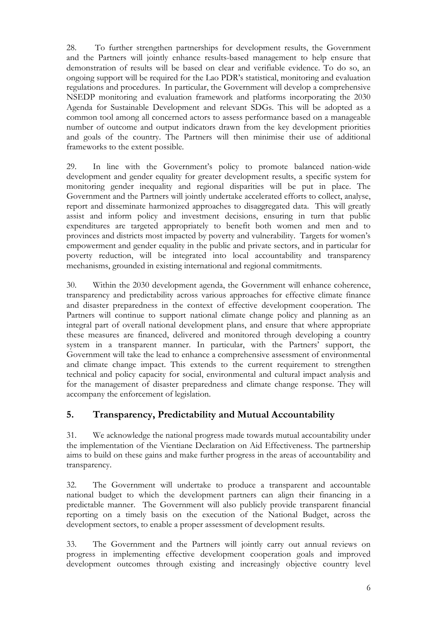28. To further strengthen partnerships for development results, the Government and the Partners will jointly enhance results-based management to help ensure that demonstration of results will be based on clear and verifiable evidence. To do so, an ongoing support will be required for the Lao PDR's statistical, monitoring and evaluation regulations and procedures. In particular, the Government will develop a comprehensive NSEDP monitoring and evaluation framework and platforms incorporating the 2030 Agenda for Sustainable Development and relevant SDGs. This will be adopted as a common tool among all concerned actors to assess performance based on a manageable number of outcome and output indicators drawn from the key development priorities and goals of the country. The Partners will then minimise their use of additional frameworks to the extent possible.

29. In line with the Government's policy to promote balanced nation-wide development and gender equality for greater development results, a specific system for monitoring gender inequality and regional disparities will be put in place. The Government and the Partners will jointly undertake accelerated efforts to collect, analyse, report and disseminate harmonized approaches to disaggregated data. This will greatly assist and inform policy and investment decisions, ensuring in turn that public expenditures are targeted appropriately to benefit both women and men and to provinces and districts most impacted by poverty and vulnerability. Targets for women's empowerment and gender equality in the public and private sectors, and in particular for poverty reduction, will be integrated into local accountability and transparency mechanisms, grounded in existing international and regional commitments.

30. Within the 2030 development agenda, the Government will enhance coherence, transparency and predictability across various approaches for effective climate finance and disaster preparedness in the context of effective development cooperation. The Partners will continue to support national climate change policy and planning as an integral part of overall national development plans, and ensure that where appropriate these measures are financed, delivered and monitored through developing a country system in a transparent manner. In particular, with the Partners' support, the Government will take the lead to enhance a comprehensive assessment of environmental and climate change impact. This extends to the current requirement to strengthen technical and policy capacity for social, environmental and cultural impact analysis and for the management of disaster preparedness and climate change response. They will accompany the enforcement of legislation.

# **5. Transparency, Predictability and Mutual Accountability**

31. We acknowledge the national progress made towards mutual accountability under the implementation of the Vientiane Declaration on Aid Effectiveness. The partnership aims to build on these gains and make further progress in the areas of accountability and transparency.

32. The Government will undertake to produce a transparent and accountable national budget to which the development partners can align their financing in a predictable manner. The Government will also publicly provide transparent financial reporting on a timely basis on the execution of the National Budget, across the development sectors, to enable a proper assessment of development results.

33. The Government and the Partners will jointly carry out annual reviews on progress in implementing effective development cooperation goals and improved development outcomes through existing and increasingly objective country level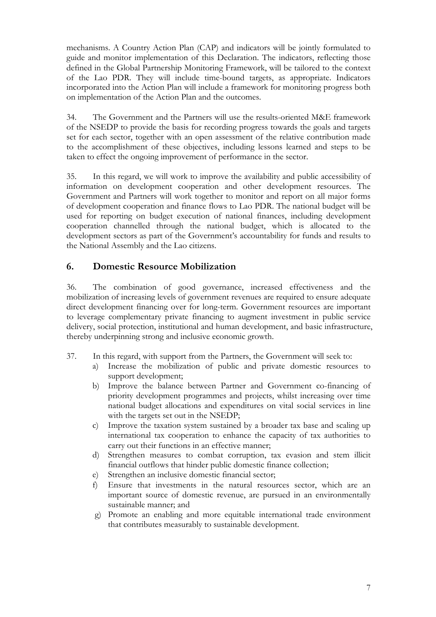mechanisms. A Country Action Plan (CAP) and indicators will be jointly formulated to guide and monitor implementation of this Declaration. The indicators, reflecting those defined in the Global Partnership Monitoring Framework, will be tailored to the context of the Lao PDR. They will include time-bound targets, as appropriate. Indicators incorporated into the Action Plan will include a framework for monitoring progress both on implementation of the Action Plan and the outcomes.

34. The Government and the Partners will use the results-oriented M&E framework of the NSEDP to provide the basis for recording progress towards the goals and targets set for each sector, together with an open assessment of the relative contribution made to the accomplishment of these objectives, including lessons learned and steps to be taken to effect the ongoing improvement of performance in the sector.

35. In this regard, we will work to improve the availability and public accessibility of information on development cooperation and other development resources. The Government and Partners will work together to monitor and report on all major forms of development cooperation and finance flows to Lao PDR. The national budget will be used for reporting on budget execution of national finances, including development cooperation channelled through the national budget, which is allocated to the development sectors as part of the Government's accountability for funds and results to the National Assembly and the Lao citizens.

## **6. Domestic Resource Mobilization**

36. The combination of good governance, increased effectiveness and the mobilization of increasing levels of government revenues are required to ensure adequate direct development financing over for long-term. Government resources are important to leverage complementary private financing to augment investment in public service delivery, social protection, institutional and human development, and basic infrastructure, thereby underpinning strong and inclusive economic growth.

- 37. In this regard, with support from the Partners, the Government will seek to:
	- a) Increase the mobilization of public and private domestic resources to support development;
	- b) Improve the balance between Partner and Government co-financing of priority development programmes and projects, whilst increasing over time national budget allocations and expenditures on vital social services in line with the targets set out in the NSEDP;
	- c) Improve the taxation system sustained by a broader tax base and scaling up international tax cooperation to enhance the capacity of tax authorities to carry out their functions in an effective manner;
	- d) Strengthen measures to combat corruption, tax evasion and stem illicit financial outflows that hinder public domestic finance collection;
	- e) Strengthen an inclusive domestic financial sector;
	- f) Ensure that investments in the natural resources sector, which are an important source of domestic revenue, are pursued in an environmentally sustainable manner; and
	- g) Promote an enabling and more equitable international trade environment that contributes measurably to sustainable development.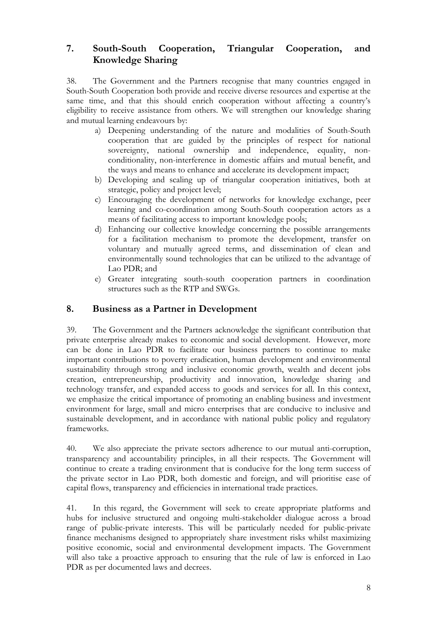## **7. South-South Cooperation, Triangular Cooperation, and Knowledge Sharing**

38. The Government and the Partners recognise that many countries engaged in South-South Cooperation both provide and receive diverse resources and expertise at the same time, and that this should enrich cooperation without affecting a country's eligibility to receive assistance from others. We will strengthen our knowledge sharing and mutual learning endeavours by:

- a) Deepening understanding of the nature and modalities of South-South cooperation that are guided by the principles of respect for national sovereignty, national ownership and independence, equality, nonconditionality, non-interference in domestic affairs and mutual benefit, and the ways and means to enhance and accelerate its development impact;
- b) Developing and scaling up of triangular cooperation initiatives, both at strategic, policy and project level;
- c) Encouraging the development of networks for knowledge exchange, peer learning and co-coordination among South-South cooperation actors as a means of facilitating access to important knowledge pools;
- d) Enhancing our collective knowledge concerning the possible arrangements for a facilitation mechanism to promote the development, transfer on voluntary and mutually agreed terms, and dissemination of clean and environmentally sound technologies that can be utilized to the advantage of Lao PDR; and
- e) Greater integrating south-south cooperation partners in coordination structures such as the RTP and SWGs.

### **8. Business as a Partner in Development**

39. The Government and the Partners acknowledge the significant contribution that private enterprise already makes to economic and social development. However, more can be done in Lao PDR to facilitate our business partners to continue to make important contributions to poverty eradication, human development and environmental sustainability through strong and inclusive economic growth, wealth and decent jobs creation, entrepreneurship, productivity and innovation, knowledge sharing and technology transfer, and expanded access to goods and services for all. In this context, we emphasize the critical importance of promoting an enabling business and investment environment for large, small and micro enterprises that are conducive to inclusive and sustainable development, and in accordance with national public policy and regulatory frameworks.

40. We also appreciate the private sectors adherence to our mutual anti-corruption, transparency and accountability principles, in all their respects. The Government will continue to create a trading environment that is conducive for the long term success of the private sector in Lao PDR, both domestic and foreign, and will prioritise ease of capital flows, transparency and efficiencies in international trade practices.

41. In this regard, the Government will seek to create appropriate platforms and hubs for inclusive structured and ongoing multi-stakeholder dialogue across a broad range of public-private interests. This will be particularly needed for public-private finance mechanisms designed to appropriately share investment risks whilst maximizing positive economic, social and environmental development impacts. The Government will also take a proactive approach to ensuring that the rule of law is enforced in Lao PDR as per documented laws and decrees.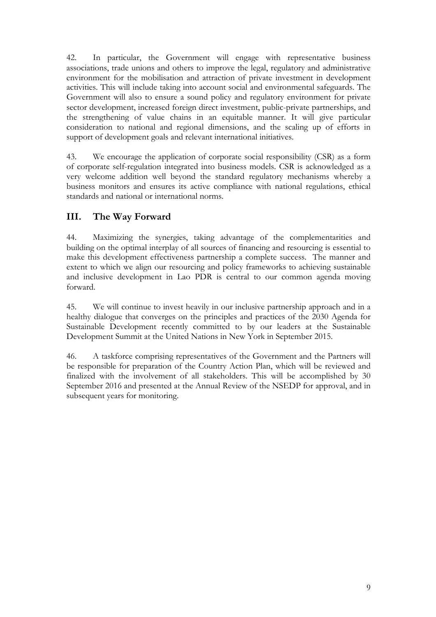42. In particular, the Government will engage with representative business associations, trade unions and others to improve the legal, regulatory and administrative environment for the mobilisation and attraction of private investment in development activities. This will include taking into account social and environmental safeguards. The Government will also to ensure a sound policy and regulatory environment for private sector development, increased foreign direct investment, public-private partnerships, and the strengthening of value chains in an equitable manner. It will give particular consideration to national and regional dimensions, and the scaling up of efforts in support of development goals and relevant international initiatives.

43. We encourage the application of corporate social responsibility (CSR) as a form of corporate self-regulation integrated into business models. CSR is acknowledged as a very welcome addition well beyond the standard regulatory mechanisms whereby a business monitors and ensures its active compliance with national regulations, ethical standards and national or international norms.

# **III. The Way Forward**

44. Maximizing the synergies, taking advantage of the complementarities and building on the optimal interplay of all sources of financing and resourcing is essential to make this development effectiveness partnership a complete success. The manner and extent to which we align our resourcing and policy frameworks to achieving sustainable and inclusive development in Lao PDR is central to our common agenda moving forward.

45. We will continue to invest heavily in our inclusive partnership approach and in a healthy dialogue that converges on the principles and practices of the 2030 Agenda for Sustainable Development recently committed to by our leaders at the Sustainable Development Summit at the United Nations in New York in September 2015.

46. A taskforce comprising representatives of the Government and the Partners will be responsible for preparation of the Country Action Plan, which will be reviewed and finalized with the involvement of all stakeholders. This will be accomplished by 30 September 2016 and presented at the Annual Review of the NSEDP for approval, and in subsequent years for monitoring.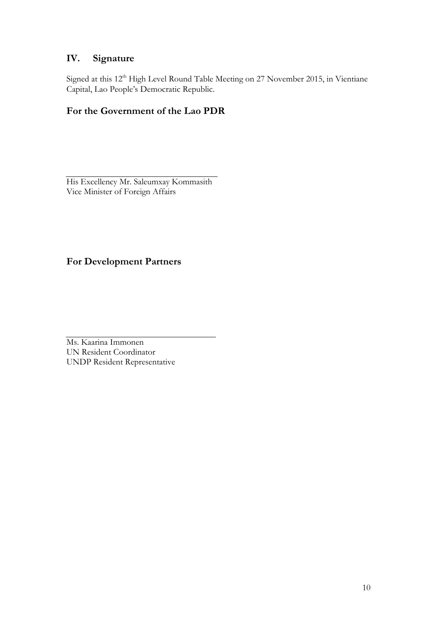# **IV. Signature**

Signed at this 12<sup>th</sup> High Level Round Table Meeting on 27 November 2015, in Vientiane Capital, Lao People's Democratic Republic.

# **For the Government of the Lao PDR**

His Excellency Mr. Saleumxay Kommasith Vice Minister of Foreign Affairs

# **For Development Partners**

Ms. Kaarina Immonen UN Resident Coordinator UNDP Resident Representative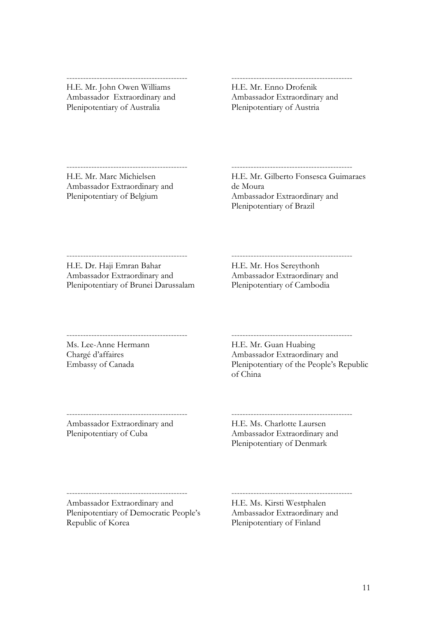-------------------------------------------- H.E. Mr. John Owen Williams Ambassador Extraordinary and Plenipotentiary of Australia

-------------------------------------------- H.E. Mr. Enno Drofenik Ambassador Extraordinary and Plenipotentiary of Austria

-------------------------------------------- H.E. Mr. Marc Michielsen Ambassador Extraordinary and Plenipotentiary of Belgium

-------------------------------------------- H.E. Mr. Gilberto Fonsesca Guimaraes de Moura Ambassador Extraordinary and Plenipotentiary of Brazil

-------------------------------------------- H.E. Dr. Haji Emran Bahar Ambassador Extraordinary and Plenipotentiary of Brunei Darussalam

--------------------------------------------

-------------------------------------------- H.E. Mr. Hos Sereythonh Ambassador Extraordinary and Plenipotentiary of Cambodia

Ms. Lee-Anne Hermann Chargé d'affaires Embassy of Canada

H.E. Mr. Guan Huabing Ambassador Extraordinary and Plenipotentiary of the People's Republic of China

--------------------------------------------

Ambassador Extraordinary and Plenipotentiary of Cuba

--------------------------------------------

H.E. Ms. Charlotte Laursen Ambassador Extraordinary and Plenipotentiary of Denmark

--------------------------------------------

Ambassador Extraordinary and Plenipotentiary of Democratic People's

 $-$ 

Republic of Korea

H.E. Ms. Kirsti Westphalen Ambassador Extraordinary and Plenipotentiary of Finland

--------------------------------------------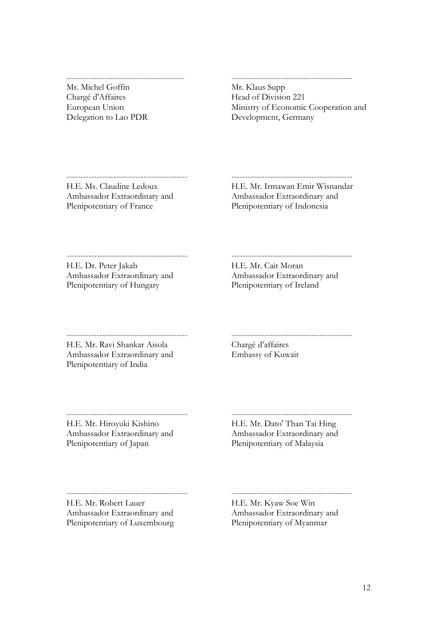Mr. Michel Goffin Chargé d'Affaires European Union Delegation to Lao PDR

-------------------------------------------

#### Mr. Klaus Supp Head of Division 221 Ministry of Economic Cooperation and Development, Germany

--------------------------------------------

H.E. Ms. Claudine Ledoux Ambassador Extraordinary and Plenipotentiary of France

-------------------------------------------- H.E. Mr. Irmawan Emir Wisnandar

Ambassador Extraordinary and Plenipotentiary of Indonesia

-------------------------------------------- H.E. Dr. Peter Jakab Ambassador Extraordinary and Plenipotentiary of Hungary

-------------------------------------------- H.E. Mr. Cait Moran Ambassador Extraordinary and Plenipotentiary of Ireland

--------------------------------------------

H.E. Mr. Ravi Shankar Aisola Ambassador Extraordinary and Plenipotentiary of India

 $-$ 

Chargé d'affaires Embassy of Kuwait

-------------------------------------------- H.E. Mr. Hiroyuki Kishino Ambassador Extraordinary and Plenipotentiary of Japan

-------------------------------------------- H.E. Mr. Dato' Than Tai Hing Ambassador Extraordinary and Plenipotentiary of Malaysia

H.E. Mr. Robert Lauer Ambassador Extraordinary and Plenipotentiary of Luxembourg

 $-$ 

H.E. Mr. Kyaw Soe Win Ambassador Extraordinary and Plenipotentiary of Myanmar

--------------------------------------------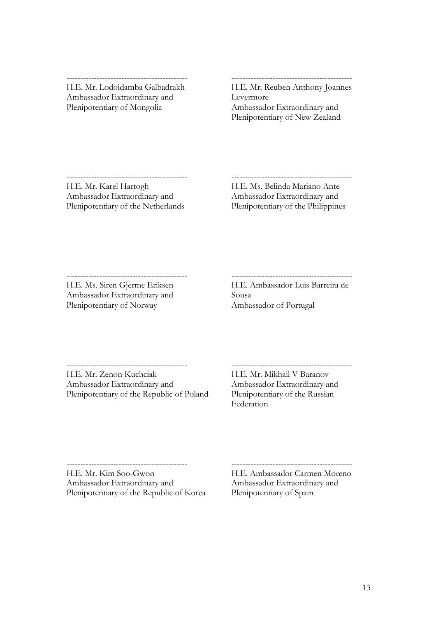#### -------------------------------------------- H.E. Mr. Lodoidamba Galbadrakh

Ambassador Extraordinary and Plenipotentiary of Mongolia

# --------------------------------------------

H.E. Mr. Reuben Anthony Joannes Levermore Ambassador Extraordinary and Plenipotentiary of New Zealand

#### -------------------------------------------- H.E. Mr. Karel Hartogh Ambassador Extraordinary and Plenipotentiary of the Netherlands

H.E. Ms. Belinda Mariano Ante Ambassador Extraordinary and Plenipotentiary of the Philippines

--------------------------------------------

#### --------------------------------------------

H.E. Ms. Siren Gjerme Eriksen Ambassador Extraordinary and Plenipotentiary of Norway

 $-$ 

H.E. Ambassador Luis Barreira de Sousa Ambassador of Portugal

-------------------------------------------- H.E. Mr. Zenon Kuchciak

Ambassador Extraordinary and Plenipotentiary of the Republic of Poland H.E. Mr. Mikhail V Baranov Ambassador Extraordinary and Plenipotentiary of the Russian Federation

--------------------------------------------

-------------------------------------------- H.E. Mr. Kim Soo-Gwon Ambassador Extraordinary and Plenipotentiary of the Republic of Korea

-------------------------------------------- H.E. Ambassador Carmen Moreno Ambassador Extraordinary and Plenipotentiary of Spain